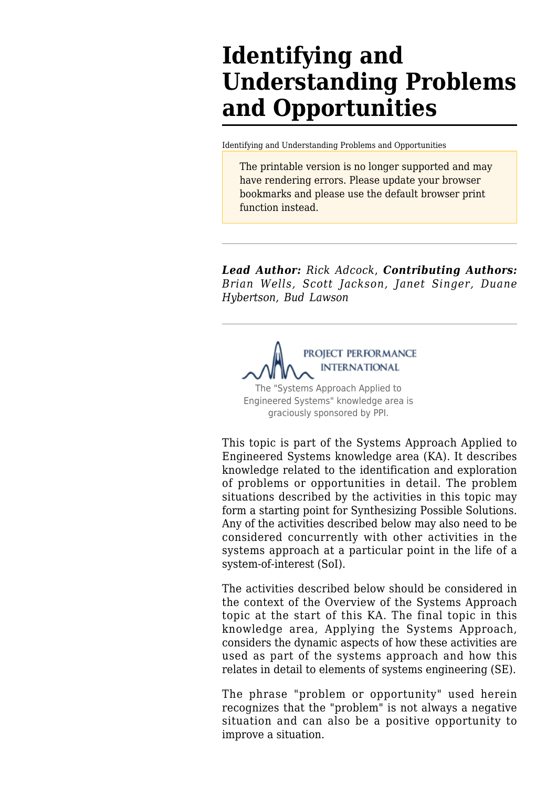# **Identifying and Understanding Problems and Opportunities**

[Identifying and Understanding Problems and Opportunities](http://sebokwiki.org/wiki/Identifying_and_Understanding_Problems_and_Opportunities)

The printable version is no longer supported and may have rendering errors. Please update your browser bookmarks and please use the default browser print function instead.

*Lead Author: Rick Adcock*, *Contributing Authors: Brian Wells, Scott Jackson, Janet Singer, Duane Hybertson, Bud Lawson*

PROJECT PERFORMANCE **INTERNATIONAL** The "Systems Approach Applied to Engineered Systems" knowledge area is graciously sponsored by PPI.

This topic is part of the [Systems Approach Applied to](http://sebokwiki.org/wiki/Systems_Approach_Applied_to_Engineered_Systems) [Engineered Systems](http://sebokwiki.org/wiki/Systems_Approach_Applied_to_Engineered_Systems) knowledge area (KA). It describes knowledge related to the identification and exploration of problems or opportunities in detail. The problem situations described by the activities in this topic may form a starting point for [Synthesizing Possible Solutions](http://sebokwiki.org/wiki/Synthesizing_Possible_Solutions). Any of the activities described below may also need to be considered concurrently with other activities in the systems approach at a particular point in the life of a system-of-interest (SoI).

The activities described below should be considered in the context of the [Overview of the Systems Approach](http://sebokwiki.org/wiki/Overview_of_the_Systems_Approach) topic at the start of this KA. The final topic in this knowledge area, [Applying the Systems Approach](http://sebokwiki.org/wiki/Applying_the_Systems_Approach), considers the dynamic aspects of how these activities are used as part of the systems approach and how this relates in detail to elements of systems engineering (SE).

The phrase "problem or opportunity" used herein recognizes that the "problem" is not always a negative situation and can also be a positive opportunity to improve a situation.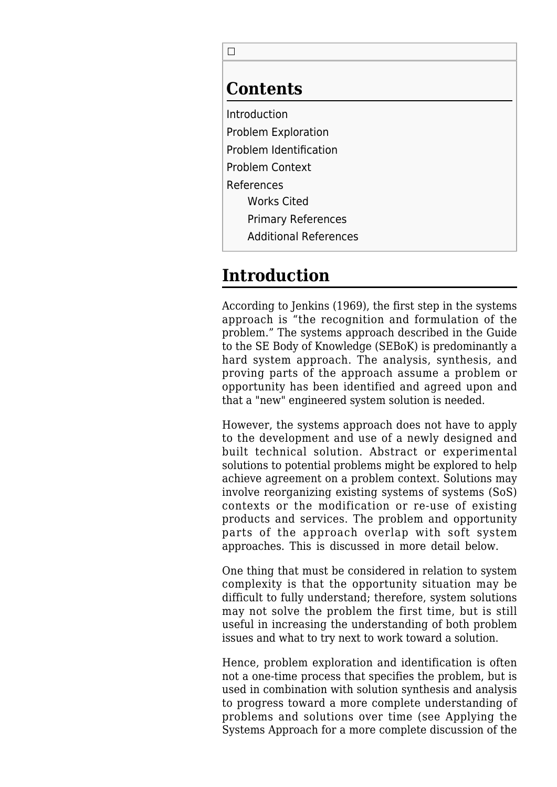$\Box$ 

#### **Contents**

[Introduction](#page--1-0) [Problem Exploration](#page--1-0) [Problem Identification](#page--1-0) [Problem Context](#page--1-0) [References](#page--1-0) [Works Cited](#page--1-0) [Primary References](#page--1-0) [Additional References](#page--1-0)

## **Introduction**

According to Jenkins (1969), the first step in the systems approach is "the recognition and formulation of the problem." The systems approach described in the Guide to the SE Body of Knowledge (SEBoK) is predominantly a hard system approach. The analysis, synthesis, and proving parts of the approach assume a problem or opportunity has been identified and agreed upon and that a "new" engineered system solution is needed.

However, the systems approach does not have to apply to the development and use of a newly designed and built technical solution. Abstract or experimental solutions to potential problems might be explored to help achieve agreement on a problem context. Solutions may involve reorganizing existing systems of systems (SoS) contexts or the modification or re-use of existing products and services. The problem and opportunity parts of the approach overlap with soft system approaches. This is discussed in more detail below.

One thing that must be considered in relation to system complexity is that the opportunity situation may be difficult to fully understand; therefore, system solutions may not solve the problem the first time, but is still useful in increasing the understanding of both problem issues and what to try next to work toward a solution.

Hence, problem exploration and identification is often not a one-time process that specifies the problem, but is used in combination with solution synthesis and analysis to progress toward a more complete understanding of problems and solutions over time (see [Applying the](http://sebokwiki.org/wiki/Applying_the_Systems_Approach) [Systems Approach](http://sebokwiki.org/wiki/Applying_the_Systems_Approach) for a more complete discussion of the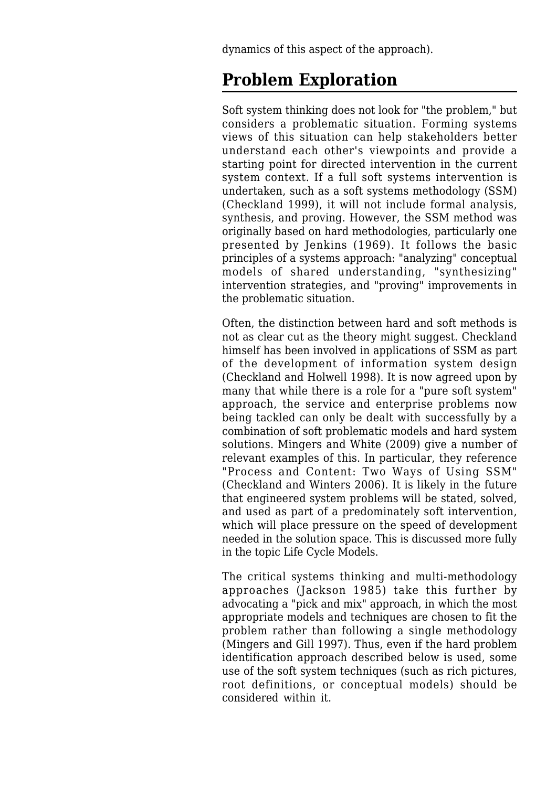dynamics of this aspect of the approach).

### **Problem Exploration**

Soft system thinking does not look for "the problem," but considers a problematic situation. Forming systems views of this situation can help stakeholders better understand each other's viewpoints and provide a starting point for directed intervention in the current system context. If a full soft systems intervention is undertaken, such as a soft systems methodology (SSM) (Checkland 1999), it will not include formal analysis, synthesis, and proving. However, the SSM method was originally based on hard methodologies, particularly one presented by Jenkins (1969). It follows the basic principles of a systems approach: "analyzing" conceptual models of shared understanding, "synthesizing" intervention strategies, and "proving" improvements in the problematic situation.

Often, the distinction between hard and soft methods is not as clear cut as the theory might suggest. Checkland himself has been involved in applications of SSM as part of the development of information system design (Checkland and Holwell 1998). It is now agreed upon by many that while there is a role for a "pure soft system" approach, the service and enterprise problems now being tackled can only be dealt with successfully by a combination of soft problematic models and hard system solutions. Mingers and White (2009) give a number of relevant examples of this. In particular, they reference "Process and Content: Two Ways of Using SSM" (Checkland and Winters 2006). It is likely in the future that engineered system problems will be stated, solved, and used as part of a predominately soft intervention, which will place pressure on the speed of development needed in the solution space. This is discussed more fully in the topic [Life Cycle Models](http://sebokwiki.org/wiki/Life_Cycle_Models).

The critical systems thinking and multi-methodology approaches (Jackson 1985) take this further by advocating a "pick and mix" approach, in which the most appropriate models and techniques are chosen to fit the problem rather than following a single methodology (Mingers and Gill 1997). Thus, even if the hard problem identification approach described below is used, some use of the soft system techniques (such as rich pictures, root definitions, or conceptual models) should be considered within it.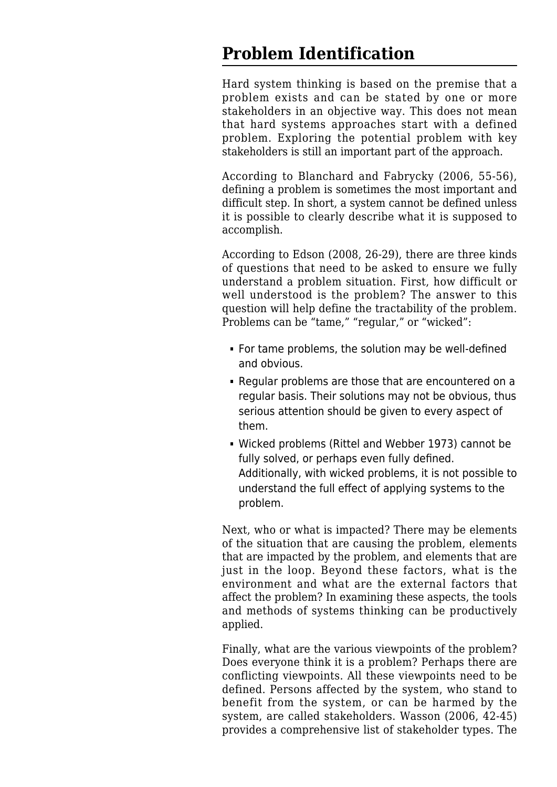### **Problem Identification**

Hard system thinking is based on the premise that a problem exists and can be stated by one or more stakeholders in an objective way. This does not mean that hard systems approaches start with a defined problem. Exploring the potential problem with key stakeholders is still an important part of the approach.

According to Blanchard and Fabrycky (2006, 55-56), defining a problem is sometimes the most important and difficult step. In short, a system cannot be defined unless it is possible to clearly describe what it is supposed to accomplish.

According to Edson (2008, 26-29), there are three kinds of questions that need to be asked to ensure we fully understand a problem situation. First, how difficult or well understood is the problem? The answer to this question will help define the tractability of the problem. Problems can be "tame," "regular," or "wicked":

- For tame problems, the solution may be well-defined and obvious.
- Regular problems are those that are encountered on a regular basis. Their solutions may not be obvious, thus serious attention should be given to every aspect of them.
- Wicked problems (Rittel and Webber 1973) cannot be fully solved, or perhaps even fully defined. Additionally, with wicked problems, it is not possible to understand the full effect of applying systems to the problem.

Next, who or what is impacted? There may be elements of the situation that are causing the problem, elements that are impacted by the problem, and elements that are just in the loop. Beyond these factors, what is the environment and what are the external factors that affect the problem? In examining these aspects, the tools and methods of systems thinking can be productively applied.

Finally, what are the various viewpoints of the problem? Does everyone think it is a problem? Perhaps there are conflicting viewpoints. All these viewpoints need to be defined. Persons affected by the system, who stand to benefit from the system, or can be harmed by the system, are called stakeholders. Wasson (2006, 42-45) provides a comprehensive list of stakeholder types. The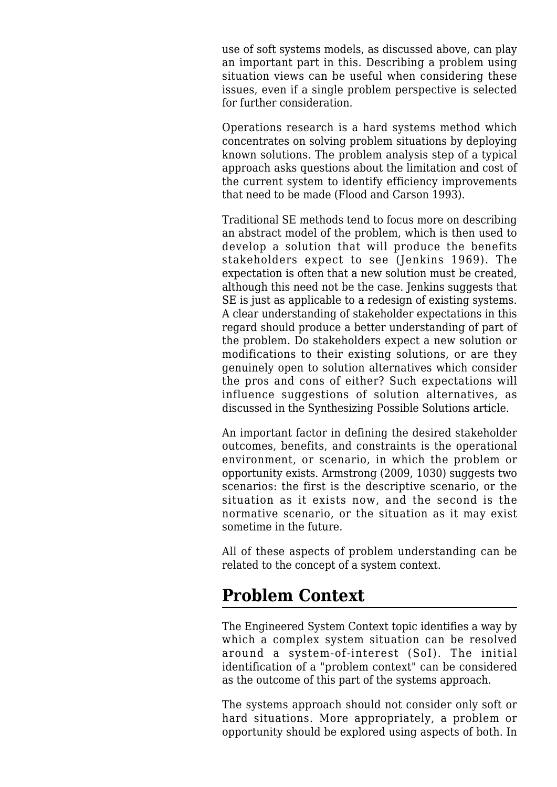use of soft systems models, as discussed above, can play an important part in this. Describing a problem using situation views can be useful when considering these issues, even if a single problem perspective is selected for further consideration.

Operations research is a hard systems method which concentrates on solving problem situations by deploying known solutions. The problem analysis step of a typical approach asks questions about the limitation and cost of the current system to identify efficiency improvements that need to be made (Flood and Carson 1993).

Traditional SE methods tend to focus more on describing an abstract model of the problem, which is then used to develop a solution that will produce the benefits stakeholders expect to see (Jenkins 1969). The expectation is often that a new solution must be created, although this need not be the case. Jenkins suggests that SE is just as applicable to a redesign of existing systems. A clear understanding of stakeholder expectations in this regard should produce a better understanding of part of the problem. Do stakeholders expect a new solution or modifications to their existing solutions, or are they genuinely open to solution alternatives which consider the pros and cons of either? Such expectations will influence suggestions of solution alternatives, as discussed in the [Synthesizing Possible Solutions](http://sebokwiki.org/wiki/Synthesizing_Possible_Solutions) article.

An important factor in defining the desired stakeholder outcomes, benefits, and constraints is the operational environment, or scenario, in which the problem or opportunity exists. Armstrong (2009, 1030) suggests two scenarios: the first is the descriptive scenario, or the situation as it exists now, and the second is the normative scenario, or the situation as it may exist sometime in the future.

All of these aspects of problem understanding can be related to the concept of a system context.

### **Problem Context**

The [Engineered System Context](http://sebokwiki.org/wiki/Engineered_System_Context) topic identifies a way by which a complex system situation can be resolved around a system-of-interest (SoI). The initial identification of a "problem context" can be considered as the outcome of this part of the systems approach.

The systems approach should not consider only soft or hard situations. More appropriately, a problem or opportunity should be explored using aspects of both. In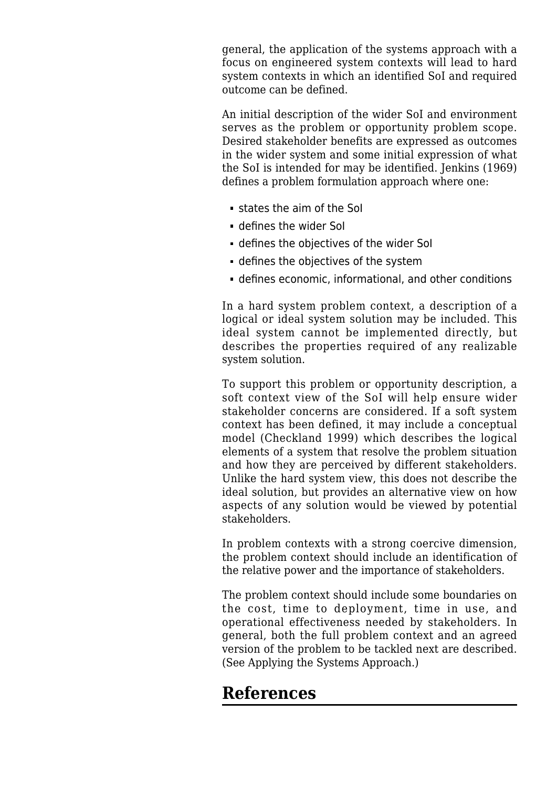general, the application of the systems approach with a focus on engineered system contexts will lead to hard system contexts in which an identified SoI and required outcome can be defined.

An initial description of the wider SoI and environment serves as the problem or opportunity problem scope. Desired stakeholder benefits are expressed as outcomes in the wider system and some initial expression of what the SoI is intended for may be identified. Jenkins (1969) defines a problem formulation approach where one:

- states the aim of the SoI
- defines the wider SoI
- defines the objectives of the wider SoI
- defines the objectives of the system
- defines economic, informational, and other conditions

In a hard system problem context, a description of a logical or ideal system solution may be included. This ideal system cannot be implemented directly, but describes the properties required of any realizable system solution.

To support this problem or opportunity description, a soft context view of the SoI will help ensure wider stakeholder concerns are considered. If a soft system context has been defined, it may include a conceptual model (Checkland 1999) which describes the logical elements of a system that resolve the problem situation and how they are perceived by different stakeholders. Unlike the hard system view, this does not describe the ideal solution, but provides an alternative view on how aspects of any solution would be viewed by potential stakeholders.

In problem contexts with a strong coercive dimension, the problem context should include an identification of the relative power and the importance of stakeholders.

The problem context should include some boundaries on the cost, time to deployment, time in use, and operational effectiveness needed by stakeholders. In general, both the full problem context and an agreed version of the problem to be tackled next are described. (See [Applying the Systems Approach](http://sebokwiki.org/wiki/Applying_the_Systems_Approach).)

### **References**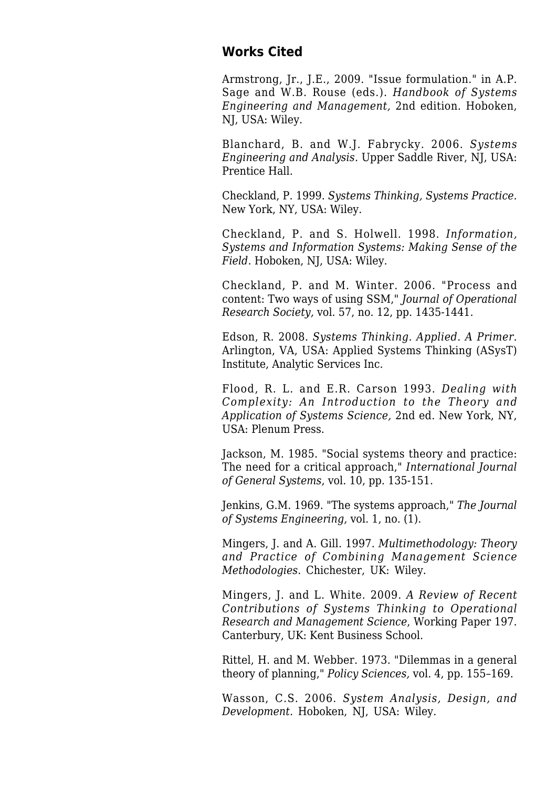#### **Works Cited**

Armstrong, Jr., J.E., 2009. "Issue formulation." in A.P. Sage and W.B. Rouse (eds.). *Handbook of Systems Engineering and Management,* 2nd edition. Hoboken, NJ, USA: Wiley.

Blanchard, B. and W.J. Fabrycky. 2006. *Systems Engineering and Analysis*. Upper Saddle River, NJ, USA: Prentice Hall.

Checkland, P. 1999. *Systems Thinking, Systems Practice.* New York, NY, USA: Wiley.

Checkland, P. and S. Holwell. 1998. *Information, Systems and Information Systems: Making Sense of the Field*. Hoboken, NJ, USA: Wiley.

Checkland, P. and M. Winter. 2006. "Process and content: Two ways of using SSM," *Journal of Operational Research Society,* vol. 57, no. 12, pp. 1435-1441.

Edson, R. 2008. *Systems Thinking. Applied. A Primer*. Arlington, VA, USA: Applied Systems Thinking (ASysT) Institute, Analytic Services Inc.

Flood, R. L. and E.R. Carson 1993. *Dealing with Complexity: An Introduction to the Theory and Application of Systems Science,* 2nd ed. New York, NY, USA: Plenum Press.

Jackson, M. 1985. "Social systems theory and practice: The need for a critical approach," *International Journal of General Systems*, vol. 10, pp. 135-151.

Jenkins, G.M. 1969. "The systems approach," *The Journal of Systems Engineering,* vol. 1, no. (1).

Mingers, J. and A. Gill. 1997. *Multimethodology: Theory and Practice of Combining Management Science Methodologies*. Chichester, UK: Wiley.

Mingers, J. and L. White. 2009. *A Review of Recent Contributions of Systems Thinking to Operational Research and Management Science*, Working Paper 197. Canterbury, UK: Kent Business School.

Rittel, H. and M. Webber. 1973. "Dilemmas in a general theory of planning," *Policy Sciences,* vol. 4, pp. 155–169.

Wasson, C.S. 2006. *System Analysis, Design, and Development.* Hoboken, NJ, USA: Wiley.